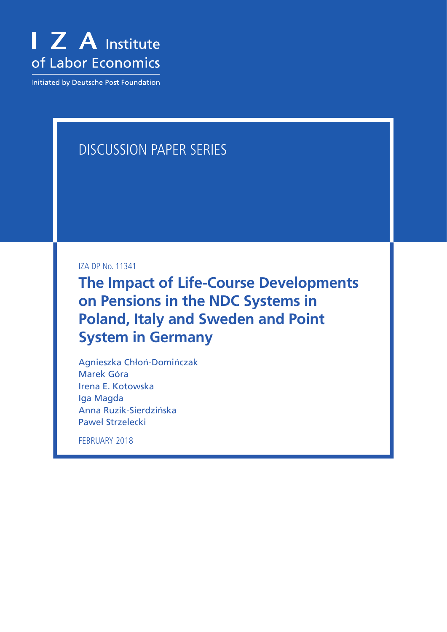

**Initiated by Deutsche Post Foundation** 

# DISCUSSION PAPER SERIES

IZA DP No. 11341

**The Impact of Life-Course Developments on Pensions in the NDC Systems in Poland, Italy and Sweden and Point System in Germany**

Agnieszka Chłoń-Domińczak Marek Góra Irena E. Kotowska Iga Magda Anna Ruzik-Sierdzińska Paweł Strzelecki

FEBRUARY 2018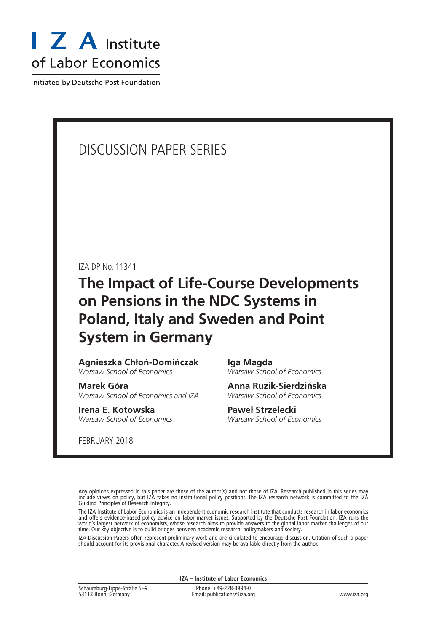

Initiated by Deutsche Post Foundation

# DISCUSSION PAPER SERIES

IZA DP No. 11341

**The Impact of Life-Course Developments on Pensions in the NDC Systems in Poland, Italy and Sweden and Point System in Germany**

**Agnieszka Chłoń-Domińczak** *Warsaw School of Economics*

**Marek Góra** *Warsaw School of Economics and IZA*

**Irena E. Kotowska** *Warsaw School of Economics*

FEBRUARY 2018

**Iga Magda** *Warsaw School of Economics*

**Anna Ruzik-Sierdzińska** *Warsaw School of Economics*

**Paweł Strzelecki** *Warsaw School of Economics*

Any opinions expressed in this paper are those of the author(s) and not those of IZA. Research published in this series may include views on policy, but IZA takes no institutional policy positions. The IZA research network is committed to the IZA Guiding Principles of Research Integrity.

The IZA Institute of Labor Economics is an independent economic research institute that conducts research in labor economics and offers evidence-based policy advice on labor market issues. Supported by the Deutsche Post Foundation, IZA runs the world's largest network of economists, whose research aims to provide answers to the global labor market challenges of our time. Our key objective is to build bridges between academic research, policymakers and society.

IZA Discussion Papers often represent preliminary work and are circulated to encourage discussion. Citation of such a paper should account for its provisional character. A revised version may be available directly from the author.

**IZA – Institute of Labor Economics**

| Schaumburg-Lippe-Straße 5-9 | Phone: +49-228-3894-0       |             |
|-----------------------------|-----------------------------|-------------|
| 53113 Bonn, Germany         | Email: publications@iza.org | www.iza.org |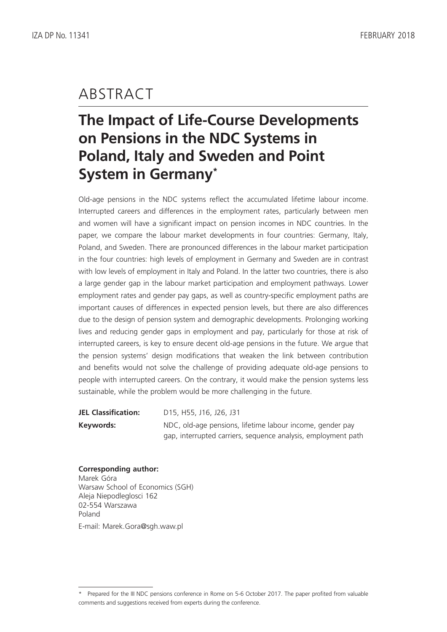# ABSTRACT

# **The Impact of Life-Course Developments on Pensions in the NDC Systems in Poland, Italy and Sweden and Point System in Germany\***

Old-age pensions in the NDC systems reflect the accumulated lifetime labour income. Interrupted careers and differences in the employment rates, particularly between men and women will have a significant impact on pension incomes in NDC countries. In the paper, we compare the labour market developments in four countries: Germany, Italy, Poland, and Sweden. There are pronounced differences in the labour market participation in the four countries: high levels of employment in Germany and Sweden are in contrast with low levels of employment in Italy and Poland. In the latter two countries, there is also a large gender gap in the labour market participation and employment pathways. Lower employment rates and gender pay gaps, as well as country-specific employment paths are important causes of differences in expected pension levels, but there are also differences due to the design of pension system and demographic developments. Prolonging working lives and reducing gender gaps in employment and pay, particularly for those at risk of interrupted careers, is key to ensure decent old-age pensions in the future. We argue that the pension systems' design modifications that weaken the link between contribution and benefits would not solve the challenge of providing adequate old-age pensions to people with interrupted careers. On the contrary, it would make the pension systems less sustainable, while the problem would be more challenging in the future.

**JEL Classification:** D15, H55, J16, J26, J31 **Keywords:** NDC, old-age pensions, lifetime labour income, gender pay gap, interrupted carriers, sequence analysis, employment path

#### **Corresponding author:** Marek Góra

Warsaw School of Economics (SGH) Aleja Niepodleglosci 162 02-554 Warszawa Poland E-mail: Marek.Gora@sgh.waw.pl

<sup>\*</sup> Prepared for the III NDC pensions conference in Rome on 5-6 October 2017. The paper profited from valuable comments and suggestions received from experts during the conference.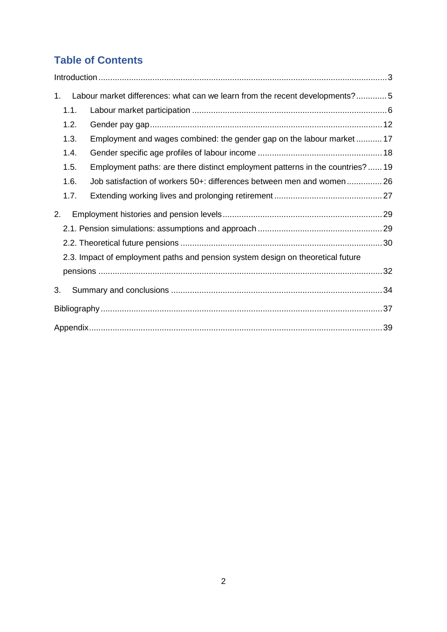# **Table of Contents**

| 1 <sub>1</sub> |      | Labour market differences: what can we learn from the recent developments?5     |  |
|----------------|------|---------------------------------------------------------------------------------|--|
|                | 1.1. |                                                                                 |  |
|                | 1.2. |                                                                                 |  |
|                | 1.3. | Employment and wages combined: the gender gap on the labour market  17          |  |
|                | 1.4. |                                                                                 |  |
|                | 1.5. | Employment paths: are there distinct employment patterns in the countries?  19  |  |
|                | 1.6. | Job satisfaction of workers 50+: differences between men and women 26           |  |
|                | 1.7. |                                                                                 |  |
| 2.             |      |                                                                                 |  |
|                |      |                                                                                 |  |
|                |      |                                                                                 |  |
|                |      | 2.3. Impact of employment paths and pension system design on theoretical future |  |
|                |      |                                                                                 |  |
| 3.             |      |                                                                                 |  |
|                |      |                                                                                 |  |
|                |      |                                                                                 |  |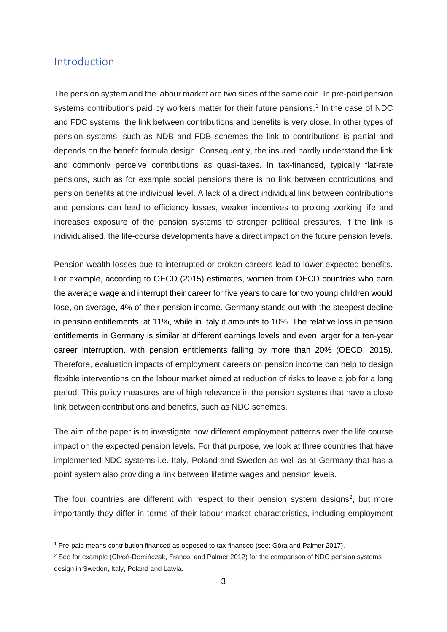## <span id="page-4-0"></span>Introduction

 $\ddot{\phantom{a}}$ 

The pension system and the labour market are two sides of the same coin. In pre-paid pension systems contributions paid by workers matter for their future pensions.<sup>[1](#page-4-1)</sup> In the case of NDC and FDC systems, the link between contributions and benefits is very close. In other types of pension systems, such as NDB and FDB schemes the link to contributions is partial and depends on the benefit formula design. Consequently, the insured hardly understand the link and commonly perceive contributions as quasi-taxes. In tax-financed, typically flat-rate pensions, such as for example social pensions there is no link between contributions and pension benefits at the individual level. A lack of a direct individual link between contributions and pensions can lead to efficiency losses, weaker incentives to prolong working life and increases exposure of the pension systems to stronger political pressures. If the link is individualised, the life-course developments have a direct impact on the future pension levels.

Pension wealth losses due to interrupted or broken careers lead to lower expected benefits. For example, according to OECD (2015) estimates, women from OECD countries who earn the average wage and interrupt their career for five years to care for two young children would lose, on average, 4% of their pension income. Germany stands out with the steepest decline in pension entitlements, at 11%, while in Italy it amounts to 10%. The relative loss in pension entitlements in Germany is similar at different earnings levels and even larger for a ten-year career interruption, with pension entitlements falling by more than 20% (OECD, 2015). Therefore, evaluation impacts of employment careers on pension income can help to design flexible interventions on the labour market aimed at reduction of risks to leave a job for a long period. This policy measures are of high relevance in the pension systems that have a close link between contributions and benefits, such as NDC schemes.

The aim of the paper is to investigate how different employment patterns over the life course impact on the expected pension levels. For that purpose, we look at three countries that have implemented NDC systems i.e. Italy, Poland and Sweden as well as at Germany that has a point system also providing a link between lifetime wages and pension levels.

The four countries are different with respect to their pension system designs<sup>[2](#page-4-2)</sup>, but more importantly they differ in terms of their labour market characteristics, including employment

<span id="page-4-1"></span><sup>1</sup> Pre-paid means contribution financed as opposed to tax-financed (see: Góra and Palmer 2017).

<span id="page-4-2"></span><sup>2</sup> See for example (Chłoń-Domińczak, Franco, and Palmer 2012) for the comparison of NDC pension systems design in Sweden, Italy, Poland and Latvia.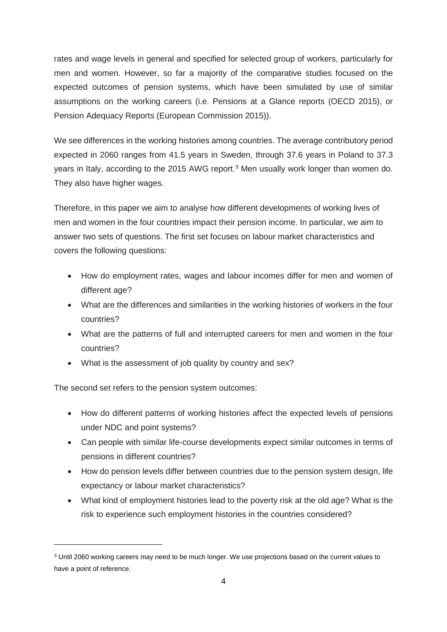rates and wage levels in general and specified for selected group of workers, particularly for men and women. However, so far a majority of the comparative studies focused on the expected outcomes of pension systems, which have been simulated by use of similar assumptions on the working careers (i.e. Pensions at a Glance reports (OECD 2015), or Pension Adequacy Reports (European Commission 2015)).

We see differences in the working histories among countries. The average contributory period expected in 2060 ranges from 41.5 years in Sweden, through 37.6 years in Poland to 37.3 years in Italy, according to the 2015 AWG report.<sup>[3](#page-5-0)</sup> Men usually work longer than women do. They also have higher wages.

Therefore, in this paper we aim to analyse how different developments of working lives of men and women in the four countries impact their pension income. In particular, we aim to answer two sets of questions. The first set focuses on labour market characteristics and covers the following questions:

- How do employment rates, wages and labour incomes differ for men and women of different age?
- What are the differences and similarities in the working histories of workers in the four countries?
- What are the patterns of full and interrupted careers for men and women in the four countries?
- What is the assessment of job quality by country and sex?

The second set refers to the pension system outcomes:

 $\overline{a}$ 

- How do different patterns of working histories affect the expected levels of pensions under NDC and point systems?
- Can people with similar life-course developments expect similar outcomes in terms of pensions in different countries?
- How do pension levels differ between countries due to the pension system design, life expectancy or labour market characteristics?
- What kind of employment histories lead to the poverty risk at the old age? What is the risk to experience such employment histories in the countries considered?

<span id="page-5-0"></span><sup>3</sup> Until 2060 working careers may need to be much longer. We use projections based on the current values to have a point of reference.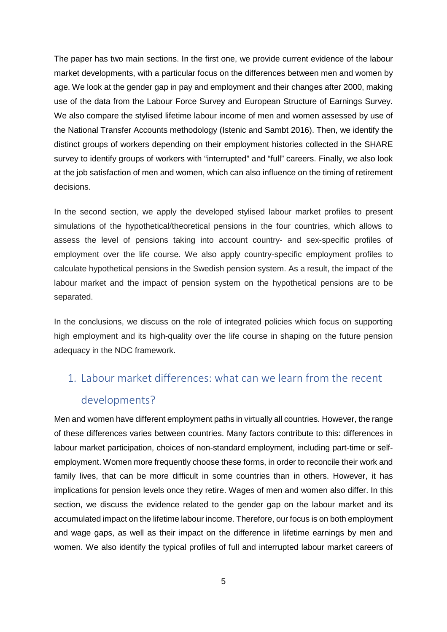The paper has two main sections. In the first one, we provide current evidence of the labour market developments, with a particular focus on the differences between men and women by age. We look at the gender gap in pay and employment and their changes after 2000, making use of the data from the Labour Force Survey and European Structure of Earnings Survey. We also compare the stylised lifetime labour income of men and women assessed by use of the National Transfer Accounts methodology (Istenic and Sambt 2016). Then, we identify the distinct groups of workers depending on their employment histories collected in the SHARE survey to identify groups of workers with "interrupted" and "full" careers. Finally, we also look at the job satisfaction of men and women, which can also influence on the timing of retirement decisions.

In the second section, we apply the developed stylised labour market profiles to present simulations of the hypothetical/theoretical pensions in the four countries, which allows to assess the level of pensions taking into account country- and sex-specific profiles of employment over the life course. We also apply country-specific employment profiles to calculate hypothetical pensions in the Swedish pension system. As a result, the impact of the labour market and the impact of pension system on the hypothetical pensions are to be separated.

In the conclusions, we discuss on the role of integrated policies which focus on supporting high employment and its high-quality over the life course in shaping on the future pension adequacy in the NDC framework.

# <span id="page-6-0"></span>1. Labour market differences: what can we learn from the recent developments?

Men and women have different employment paths in virtually all countries. However, the range of these differences varies between countries. Many factors contribute to this: differences in labour market participation, choices of non-standard employment, including part-time or selfemployment. Women more frequently choose these forms, in order to reconcile their work and family lives, that can be more difficult in some countries than in others. However, it has implications for pension levels once they retire. Wages of men and women also differ. In this section, we discuss the evidence related to the gender gap on the labour market and its accumulated impact on the lifetime labour income. Therefore, our focus is on both employment and wage gaps, as well as their impact on the difference in lifetime earnings by men and women. We also identify the typical profiles of full and interrupted labour market careers of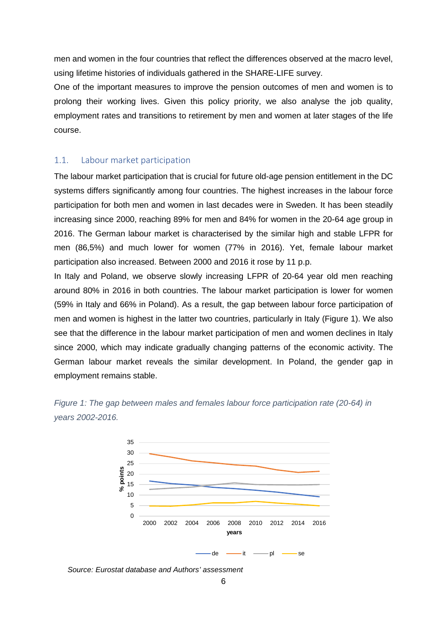men and women in the four countries that reflect the differences observed at the macro level, using lifetime histories of individuals gathered in the SHARE-LIFE survey.

One of the important measures to improve the pension outcomes of men and women is to prolong their working lives. Given this policy priority, we also analyse the job quality, employment rates and transitions to retirement by men and women at later stages of the life course.

#### <span id="page-7-0"></span>1.1. Labour market participation

The labour market participation that is crucial for future old-age pension entitlement in the DC systems differs significantly among four countries. The highest increases in the labour force participation for both men and women in last decades were in Sweden. It has been steadily increasing since 2000, reaching 89% for men and 84% for women in the 20-64 age group in 2016. The German labour market is characterised by the similar high and stable LFPR for men (86,5%) and much lower for women (77% in 2016). Yet, female labour market participation also increased. Between 2000 and 2016 it rose by 11 p.p.

In Italy and Poland, we observe slowly increasing LFPR of 20-64 year old men reaching around 80% in 2016 in both countries. The labour market participation is lower for women (59% in Italy and 66% in Poland). As a result, the gap between labour force participation of men and women is highest in the latter two countries, particularly in Italy (Figure 1). We also see that the difference in the labour market participation of men and women declines in Italy since 2000, which may indicate gradually changing patterns of the economic activity. The German labour market reveals the similar development. In Poland, the gender gap in employment remains stable.



*Figure 1: The gap between males and females labour force participation rate (20-64) in years 2002-2016.*

*Source: Eurostat database and Authors' assessment*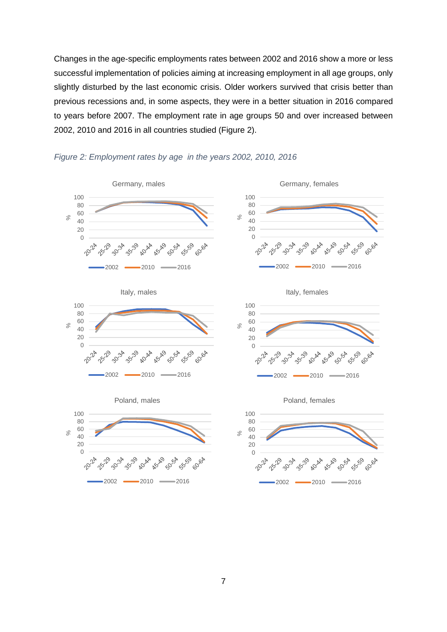Changes in the age-specific employments rates between 2002 and 2016 show a more or less successful implementation of policies aiming at increasing employment in all age groups, only slightly disturbed by the last economic crisis. Older workers survived that crisis better than previous recessions and, in some aspects, they were in a better situation in 2016 compared to years before 2007. The employment rate in age groups 50 and over increased between 2002, 2010 and 2016 in all countries studied [\(Figure 2\)](#page-8-0).



<span id="page-8-0"></span>











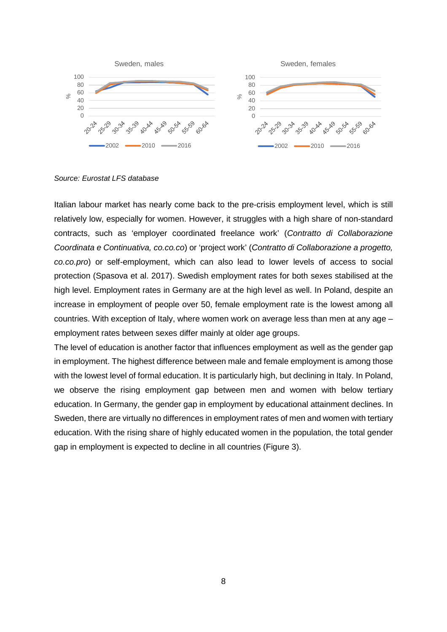

*Source: Eurostat LFS database*

Italian labour market has nearly come back to the pre-crisis employment level, which is still relatively low, especially for women. However, it struggles with a high share of non-standard contracts, such as 'employer coordinated freelance work' (*Contratto di Collaborazione Coordinata e Continuativa, co.co.co*) or 'project work' (*Contratto di Collaborazione a progetto, co.co.pro*) or self-employment, which can also lead to lower levels of access to social protection (Spasova et al. 2017). Swedish employment rates for both sexes stabilised at the high level. Employment rates in Germany are at the high level as well. In Poland, despite an increase in employment of people over 50, female employment rate is the lowest among all countries. With exception of Italy, where women work on average less than men at any age – employment rates between sexes differ mainly at older age groups.

The level of education is another factor that influences employment as well as the gender gap in employment. The highest difference between male and female employment is among those with the lowest level of formal education. It is particularly high, but declining in Italy. In Poland, we observe the rising employment gap between men and women with below tertiary education. In Germany, the gender gap in employment by educational attainment declines. In Sweden, there are virtually no differences in employment rates of men and women with tertiary education. With the rising share of highly educated women in the population, the total gender gap in employment is expected to decline in all countries [\(Figure 3\)](#page-10-0).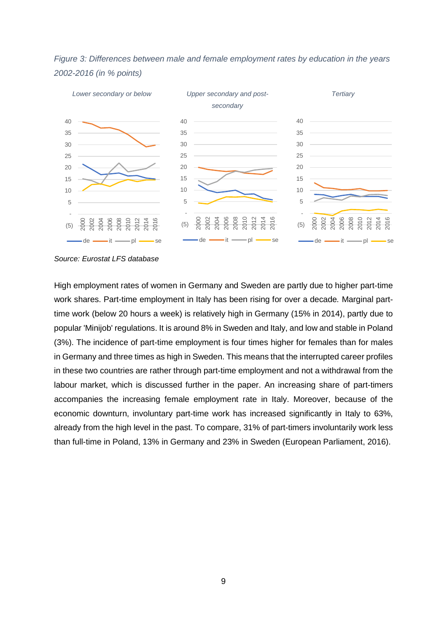<span id="page-10-0"></span>



*Source: Eurostat LFS database*

High employment rates of women in Germany and Sweden are partly due to higher part-time work shares. Part-time employment in Italy has been rising for over a decade*.* Marginal parttime work (below 20 hours a week) is relatively high in Germany (15% in 2014), partly due to popular 'Minijob' regulations. It is around 8% in Sweden and Italy, and low and stable in Poland (3%). The incidence of part-time employment is four times higher for females than for males in Germany and three times as high in Sweden. This means that the interrupted career profiles in these two countries are rather through part-time employment and not a withdrawal from the labour market, which is discussed further in the paper. An increasing share of part-timers accompanies the increasing female employment rate in Italy. Moreover, because of the economic downturn, involuntary part-time work has increased significantly in Italy to 63%, already from the high level in the past. To compare, 31% of part-timers involuntarily work less than full-time in Poland, 13% in Germany and 23% in Sweden (European Parliament, 2016).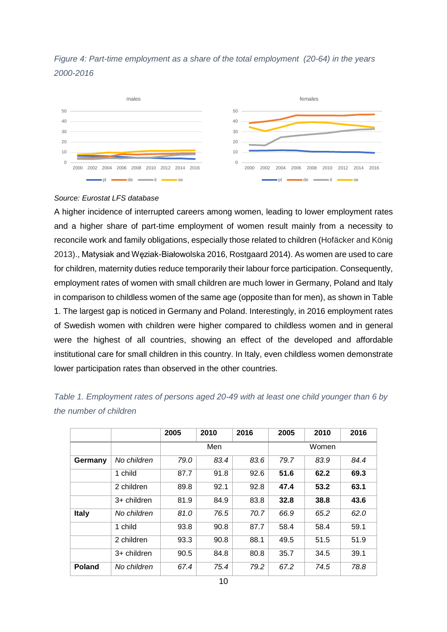



#### *Source: Eurostat LFS database*

A higher incidence of interrupted careers among women, leading to lower employment rates and a higher share of part-time employment of women result mainly from a necessity to reconcile work and family obligations, especially those related to children (Hofäcker and König 2013)., Matysiak and Węziak-Białowolska 2016, Rostgaard 2014). As women are used to care for children, maternity duties reduce temporarily their labour force participation. Consequently, employment rates of women with small children are much lower in Germany, Poland and Italy in comparison to childless women of the same age (opposite than for men), as shown in [Table](#page-11-0)  [1.](#page-11-0) The largest gap is noticed in Germany and Poland. Interestingly, in 2016 employment rates of Swedish women with children were higher compared to childless women and in general were the highest of all countries, showing an effect of the developed and affordable institutional care for small children in this country. In Italy, even childless women demonstrate lower participation rates than observed in the other countries.

|               |             | 2005 | 2010 | 2016 | 2005  | 2010 | 2016 |
|---------------|-------------|------|------|------|-------|------|------|
|               |             | Men  |      |      | Women |      |      |
| Germany       | No children | 79.0 | 83.4 | 83.6 | 79.7  | 83.9 | 84.4 |
|               | 1 child     | 87.7 | 91.8 | 92.6 | 51.6  | 62.2 | 69.3 |
|               | 2 children  | 89.8 | 92.1 | 92.8 | 47.4  | 53.2 | 63.1 |
|               | 3+ children | 81.9 | 84.9 | 83.8 | 32.8  | 38.8 | 43.6 |
| <b>Italy</b>  | No children | 81.0 | 76.5 | 70.7 | 66.9  | 65.2 | 62.0 |
|               | 1 child     | 93.8 | 90.8 | 87.7 | 58.4  | 58.4 | 59.1 |
|               | 2 children  | 93.3 | 90.8 | 88.1 | 49.5  | 51.5 | 51.9 |
|               | 3+ children | 90.5 | 84.8 | 80.8 | 35.7  | 34.5 | 39.1 |
| <b>Poland</b> | No children | 67.4 | 75.4 | 79.2 | 67.2  | 74.5 | 78.8 |

<span id="page-11-0"></span>*Table 1. Employment rates of persons aged 20-49 with at least one child younger than 6 by the number of children*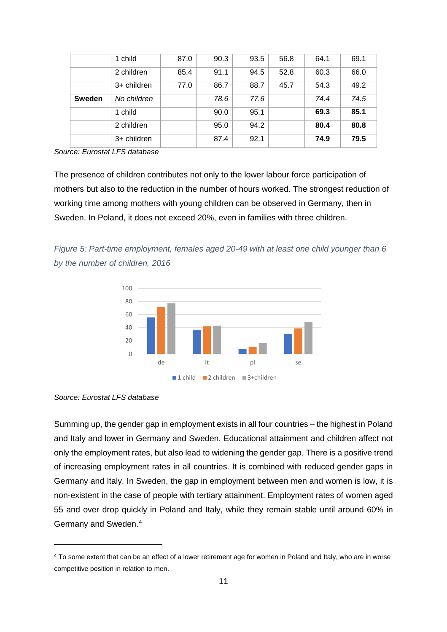|               | 1 child     | 87.0 | 90.3 | 93.5 | 56.8 | 64.1 | 69.1 |
|---------------|-------------|------|------|------|------|------|------|
|               | 2 children  | 85.4 | 91.1 | 94.5 | 52.8 | 60.3 | 66.0 |
|               | 3+ children | 77.0 | 86.7 | 88.7 | 45.7 | 54.3 | 49.2 |
| <b>Sweden</b> | No children |      | 78.6 | 77.6 |      | 74.4 | 74.5 |
|               | 1 child     |      | 90.0 | 95.1 |      | 69.3 | 85.1 |
|               | 2 children  |      | 95.0 | 94.2 |      | 80.4 | 80.8 |
|               | 3+ children |      | 87.4 | 92.1 |      | 74.9 | 79.5 |

*Source: Eurostat LFS database*

The presence of children contributes not only to the lower labour force participation of mothers but also to the reduction in the number of hours worked. The strongest reduction of working time among mothers with young children can be observed in Germany, then in Sweden. In Poland, it does not exceed 20%, even in families with three children.

*Figure 5: Part-time employment, females aged 20-49 with at least one child younger than 6 by the number of children, 2016*



*Source: Eurostat LFS database*

 $\overline{a}$ 

Summing up, the gender gap in employment exists in all four countries – the highest in Poland and Italy and lower in Germany and Sweden. Educational attainment and children affect not only the employment rates, but also lead to widening the gender gap. There is a positive trend of increasing employment rates in all countries. It is combined with reduced gender gaps in Germany and Italy. In Sweden, the gap in employment between men and women is low, it is non-existent in the case of people with tertiary attainment. Employment rates of women aged 55 and over drop quickly in Poland and Italy, while they remain stable until around 60% in Germany and Sweden.[4](#page-12-0)

<span id="page-12-0"></span><sup>4</sup> To some extent that can be an effect of a lower retirement age for women in Poland and Italy, who are in worse competitive position in relation to men.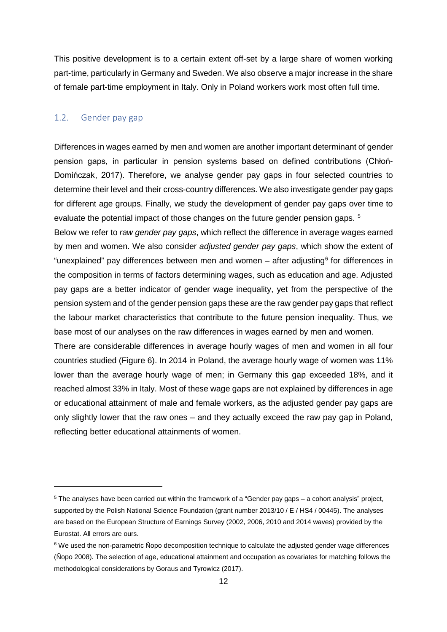This positive development is to a certain extent off-set by a large share of women working part-time, particularly in Germany and Sweden. We also observe a major increase in the share of female part-time employment in Italy. Only in Poland workers work most often full time.

#### <span id="page-13-0"></span>1.2. Gender pay gap

 $\ddot{\phantom{a}}$ 

Differences in wages earned by men and women are another important determinant of gender pension gaps, in particular in pension systems based on defined contributions (Chłoń-Domińczak, 2017). Therefore, we analyse gender pay gaps in four selected countries to determine their level and their cross-country differences. We also investigate gender pay gaps for different age groups. Finally, we study the development of gender pay gaps over time to evaluate the potential impact of those changes on the future gender pension gaps. [5](#page-13-1)

Below we refer to *raw gender pay gaps*, which reflect the difference in average wages earned by men and women. We also consider *adjusted gender pay gaps*, which show the extent of "unexplained" pay differences between men and women  $-$  after adjusting<sup>[6](#page-13-2)</sup> for differences in the composition in terms of factors determining wages, such as education and age. Adjusted pay gaps are a better indicator of gender wage inequality, yet from the perspective of the pension system and of the gender pension gaps these are the raw gender pay gaps that reflect the labour market characteristics that contribute to the future pension inequality. Thus, we base most of our analyses on the raw differences in wages earned by men and women.

There are considerable differences in average hourly wages of men and women in all four countries studied [\(Figure 6\)](#page-14-0). In 2014 in Poland, the average hourly wage of women was 11% lower than the average hourly wage of men; in Germany this gap exceeded 18%, and it reached almost 33% in Italy. Most of these wage gaps are not explained by differences in age or educational attainment of male and female workers, as the adjusted gender pay gaps are only slightly lower that the raw ones – and they actually exceed the raw pay gap in Poland, reflecting better educational attainments of women.

<span id="page-13-1"></span><sup>5</sup> The analyses have been carried out within the framework of a "Gender pay gaps – a cohort analysis" project, supported by the Polish National Science Foundation (grant number 2013/10 / E / HS4 / 00445). The analyses are based on the European Structure of Earnings Survey (2002, 2006, 2010 and 2014 waves) provided by the Eurostat. All errors are ours.

<span id="page-13-2"></span><sup>&</sup>lt;sup>6</sup> We used the non-parametric Nopo decomposition technique to calculate the adjusted gender wage differences (Ñopo 2008). The selection of age, educational attainment and occupation as covariates for matching follows the methodological considerations by Goraus and Tyrowicz (2017).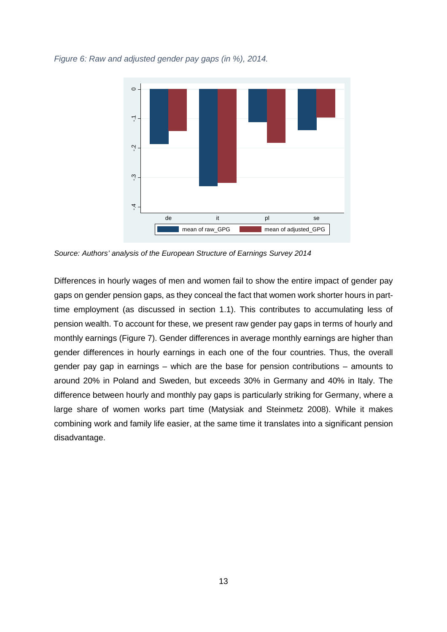<span id="page-14-0"></span>*Figure 6: Raw and adjusted gender pay gaps (in %), 2014.*



*Source: Authors' analysis of the European Structure of Earnings Survey 2014*

Differences in hourly wages of men and women fail to show the entire impact of gender pay gaps on gender pension gaps, as they conceal the fact that women work shorter hours in parttime employment (as discussed in section 1.1). This contributes to accumulating less of pension wealth. To account for these, we present raw gender pay gaps in terms of hourly and monthly earnings [\(Figure 7\)](#page-15-0). Gender differences in average monthly earnings are higher than gender differences in hourly earnings in each one of the four countries. Thus, the overall gender pay gap in earnings – which are the base for pension contributions – amounts to around 20% in Poland and Sweden, but exceeds 30% in Germany and 40% in Italy. The difference between hourly and monthly pay gaps is particularly striking for Germany, where a large share of women works part time (Matysiak and Steinmetz 2008). While it makes combining work and family life easier, at the same time it translates into a significant pension disadvantage.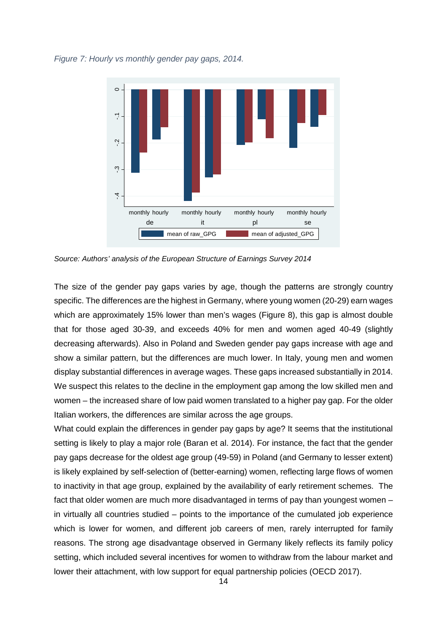<span id="page-15-0"></span>*Figure 7: Hourly vs monthly gender pay gaps, 2014.*



*Source: Authors' analysis of the European Structure of Earnings Survey 2014*

The size of the gender pay gaps varies by age, though the patterns are strongly country specific. The differences are the highest in Germany, where young women (20-29) earn wages which are approximately 15% lower than men's wages [\(Figure 8\)](#page-16-0), this gap is almost double that for those aged 30-39, and exceeds 40% for men and women aged 40-49 (slightly decreasing afterwards). Also in Poland and Sweden gender pay gaps increase with age and show a similar pattern, but the differences are much lower. In Italy, young men and women display substantial differences in average wages. These gaps increased substantially in 2014. We suspect this relates to the decline in the employment gap among the low skilled men and women – the increased share of low paid women translated to a higher pay gap. For the older Italian workers, the differences are similar across the age groups.

What could explain the differences in gender pay gaps by age? It seems that the institutional setting is likely to play a major role (Baran et al. 2014). For instance, the fact that the gender pay gaps decrease for the oldest age group (49-59) in Poland (and Germany to lesser extent) is likely explained by self-selection of (better-earning) women, reflecting large flows of women to inactivity in that age group, explained by the availability of early retirement schemes. The fact that older women are much more disadvantaged in terms of pay than youngest women – in virtually all countries studied – points to the importance of the cumulated job experience which is lower for women, and different job careers of men, rarely interrupted for family reasons. The strong age disadvantage observed in Germany likely reflects its family policy setting, which included several incentives for women to withdraw from the labour market and and the interest of the proportion (Bartim at the support) and the mean of the set of the set of the partnership of the European Structure of Earnings Survey 2014<br>The size of the general pay gaps varies by age, though the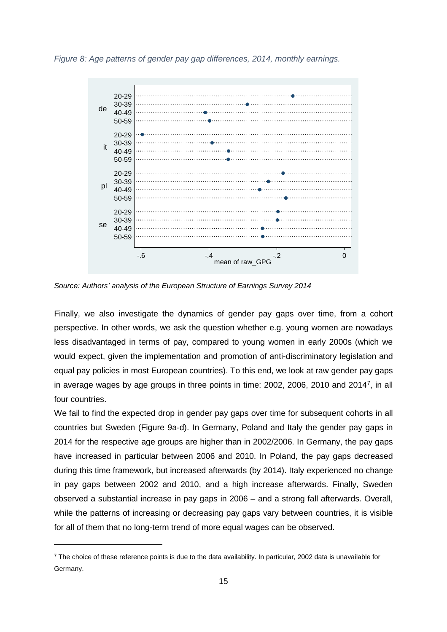<span id="page-16-0"></span>*Figure 8: Age patterns of gender pay gap differences, 2014, monthly earnings.*



*Source: Authors' analysis of the European Structure of Earnings Survey 2014*

Finally, we also investigate the dynamics of gender pay gaps over time, from a cohort perspective. In other words, we ask the question whether e.g. young women are nowadays less disadvantaged in terms of pay, compared to young women in early 2000s (which we would expect, given the implementation and promotion of anti-discriminatory legislation and equal pay policies in most European countries). To this end, we look at raw gender pay gaps in average wages by age groups in three points in time: 2002, 2006, 2010 and 2014<sup>[7](#page-16-1)</sup>, in all four countries.

We fail to find the expected drop in gender pay gaps over time for subsequent cohorts in all countries but Sweden [\(Figure 9a](#page-17-0)-d). In Germany, Poland and Italy the gender pay gaps in 2014 for the respective age groups are higher than in 2002/2006. In Germany, the pay gaps have increased in particular between 2006 and 2010. In Poland, the pay gaps decreased during this time framework, but increased afterwards (by 2014). Italy experienced no change in pay gaps between 2002 and 2010, and a high increase afterwards. Finally, Sweden observed a substantial increase in pay gaps in 2006 – and a strong fall afterwards. Overall, while the patterns of increasing or decreasing pay gaps vary between countries, it is visible for all of them that no long-term trend of more equal wages can be observed.

 $\overline{a}$ 

<span id="page-16-1"></span> $7$  The choice of these reference points is due to the data availability. In particular, 2002 data is unavailable for Germany.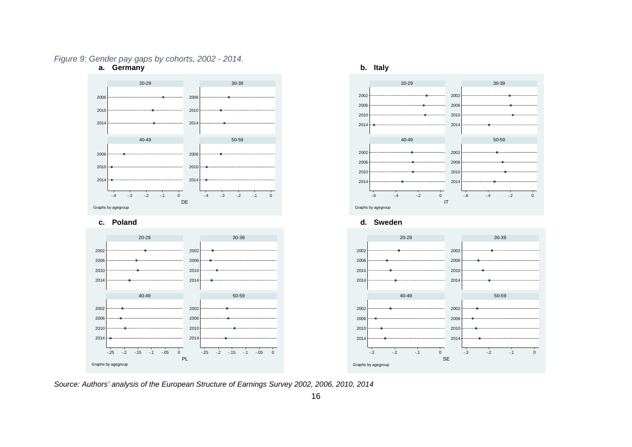#### *Figure 9: Gender pay gaps by cohorts, 2002 - 2014.*



<span id="page-17-0"></span>*Source: Authors' analysis of the European Structure of Earnings Survey 2002, 2006, 2010, 2014*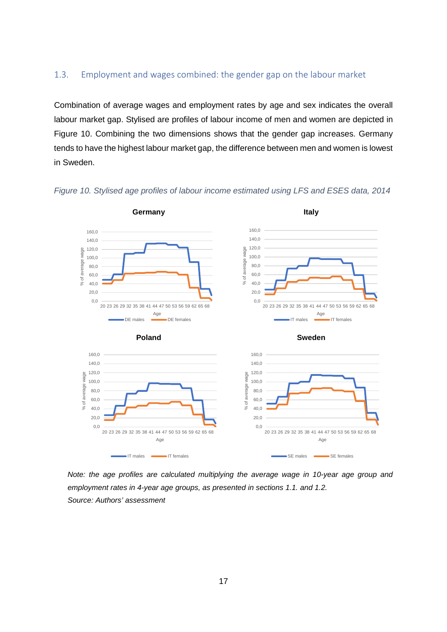### <span id="page-18-0"></span>1.3. Employment and wages combined: the gender gap on the labour market

Combination of average wages and employment rates by age and sex indicates the overall labour market gap. Stylised are profiles of labour income of men and women are depicted in [Figure 10.](#page-18-1) Combining the two dimensions shows that the gender gap increases. Germany tends to have the highest labour market gap, the difference between men and women is lowest in Sweden.



<span id="page-18-1"></span>*Figure 10. Stylised age profiles of labour income estimated using LFS and ESES data, 2014*

*Note: the age profiles are calculated multiplying the average wage in 10-year age group and employment rates in 4-year age groups, as presented in sections 1.1. and 1.2. Source: Authors' assessment*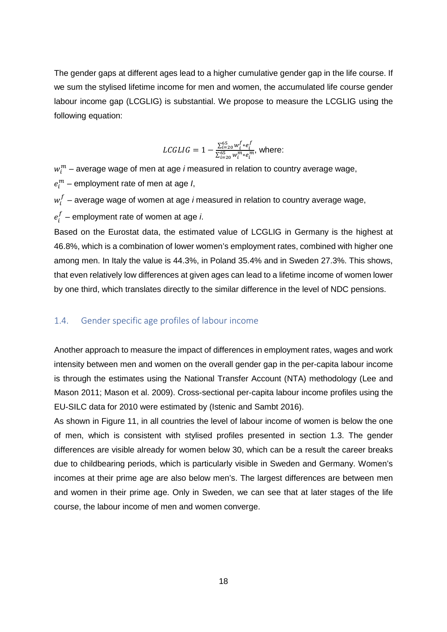The gender gaps at different ages lead to a higher cumulative gender gap in the life course. If we sum the stylised lifetime income for men and women, the accumulated life course gender labour income gap (LCGLIG) is substantial. We propose to measure the LCGLIG using the following equation:

$$
LCGLIG = 1 - \frac{\sum_{i=20}^{65} w_i^f * e_i^f}{\sum_{i=20}^{65} w_i^m * e_i^m}, \text{ where:}
$$

 $w^m_l$  – average wage of men at age *i* measured in relation to country average wage,  $e_i^m$  – employment rate of men at age *I*,

 $w_{i}^{f}$  – average wage of women at age *i* measured in relation to country average wage,

 $e_i^I$  – employment rate of women at age *i*.

Based on the Eurostat data, the estimated value of LCGLIG in Germany is the highest at 46.8%, which is a combination of lower women's employment rates, combined with higher one among men. In Italy the value is 44.3%, in Poland 35.4% and in Sweden 27.3%. This shows, that even relatively low differences at given ages can lead to a lifetime income of women lower by one third, which translates directly to the similar difference in the level of NDC pensions.

### <span id="page-19-0"></span>1.4. Gender specific age profiles of labour income

Another approach to measure the impact of differences in employment rates, wages and work intensity between men and women on the overall gender gap in the per-capita labour income is through the estimates using the National Transfer Account (NTA) methodology (Lee and Mason 2011; Mason et al. 2009). Cross-sectional per-capita labour income profiles using the EU-SILC data for 2010 were estimated by (Istenic and Sambt 2016).

As shown in [Figure 11,](#page-20-1) in all countries the level of labour income of women is below the one of men, which is consistent with stylised profiles presented in section 1.3. The gender differences are visible already for women below 30, which can be a result the career breaks due to childbearing periods, which is particularly visible in Sweden and Germany. Women's incomes at their prime age are also below men's. The largest differences are between men and women in their prime age. Only in Sweden, we can see that at later stages of the life course, the labour income of men and women converge.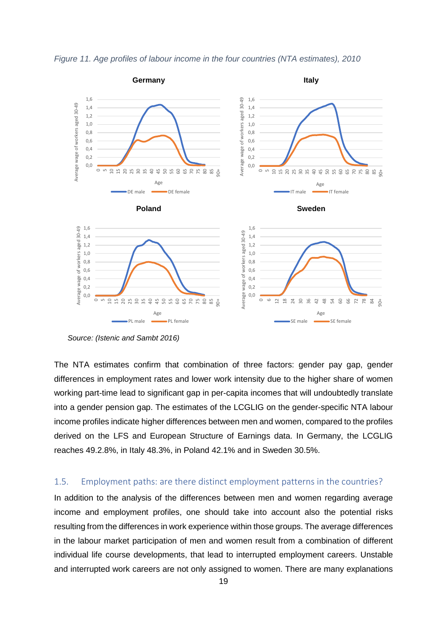<span id="page-20-1"></span>



*Source: (Istenic and Sambt 2016)*

The NTA estimates confirm that combination of three factors: gender pay gap, gender differences in employment rates and lower work intensity due to the higher share of women working part-time lead to significant gap in per-capita incomes that will undoubtedly translate into a gender pension gap. The estimates of the LCGLIG on the gender-specific NTA labour income profiles indicate higher differences between men and women, compared to the profiles derived on the LFS and European Structure of Earnings data. In Germany, the LCGLIG reaches 49.2.8%, in Italy 48.3%, in Poland 42.1% and in Sweden 30.5%.

### <span id="page-20-0"></span>1.5. Employment paths: are there distinct employment patterns in the countries?

In addition to the analysis of the differences between men and women regarding average income and employment profiles, one should take into account also the potential risks resulting from the differences in work experience within those groups. The average differences in the labour market participation of men and women result from a combination of different individual life course developments, that lead to interrupted employment careers. Unstable and interrupted work careers are not only assigned to women. There are many explanations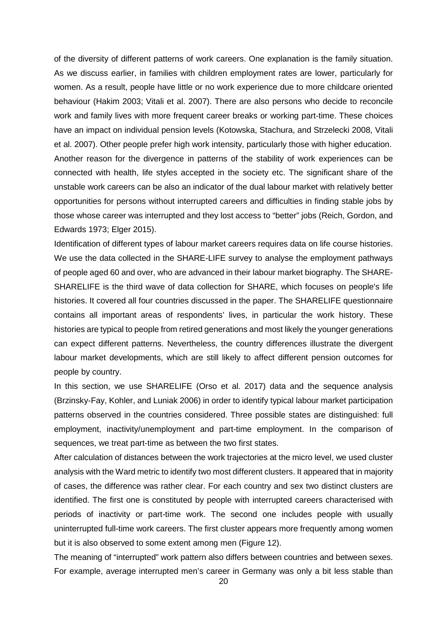of the diversity of different patterns of work careers. One explanation is the family situation. As we discuss earlier, in families with children employment rates are lower, particularly for women. As a result, people have little or no work experience due to more childcare oriented behaviour (Hakim 2003; Vitali et al. 2007). There are also persons who decide to reconcile work and family lives with more frequent career breaks or working part-time. These choices have an impact on individual pension levels (Kotowska, Stachura, and Strzelecki 2008, Vitali et al. 2007). Other people prefer high work intensity, particularly those with higher education. Another reason for the divergence in patterns of the stability of work experiences can be connected with health, life styles accepted in the society etc. The significant share of the unstable work careers can be also an indicator of the dual labour market with relatively better opportunities for persons without interrupted careers and difficulties in finding stable jobs by those whose career was interrupted and they lost access to "better" jobs (Reich, Gordon, and Edwards 1973; Elger 2015).

Identification of different types of labour market careers requires data on life course histories. We use the data collected in the SHARE-LIFE survey to analyse the employment pathways of people aged 60 and over, who are advanced in their labour market biography. The SHARE-SHARELIFE is the third wave of data collection for SHARE, which focuses on people's life histories. It covered all four countries discussed in the paper. The SHARELIFE questionnaire contains all important areas of respondents' lives, in particular the work history. These histories are typical to people from retired generations and most likely the younger generations can expect different patterns. Nevertheless, the country differences illustrate the divergent labour market developments, which are still likely to affect different pension outcomes for people by country.

In this section, we use SHARELIFE (Orso et al. 2017) data and the sequence analysis (Brzinsky-Fay, Kohler, and Luniak 2006) in order to identify typical labour market participation patterns observed in the countries considered. Three possible states are distinguished: full employment, inactivity/unemployment and part-time employment. In the comparison of sequences, we treat part-time as between the two first states.

After calculation of distances between the work trajectories at the micro level, we used cluster analysis with the Ward metric to identify two most different clusters. It appeared that in majority of cases, the difference was rather clear. For each country and sex two distinct clusters are identified. The first one is constituted by people with interrupted careers characterised with periods of inactivity or part-time work. The second one includes people with usually uninterrupted full-time work careers. The first cluster appears more frequently among women but it is also observed to some extent among men [\(Figure 12\)](#page-23-0).

The meaning of "interrupted" work pattern also differs between countries and between sexes. For example, average interrupted men's career in Germany was only a bit less stable than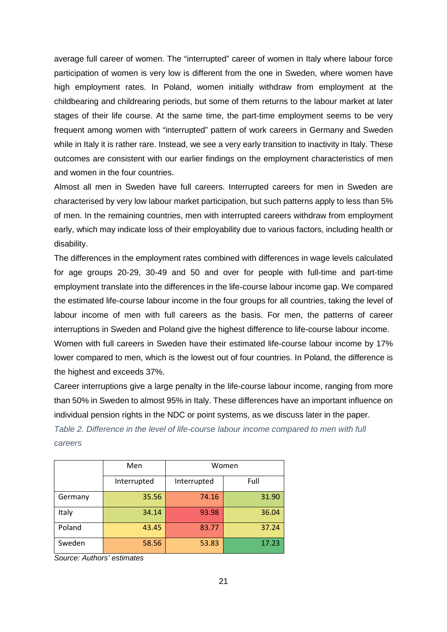average full career of women. The "interrupted" career of women in Italy where labour force participation of women is very low is different from the one in Sweden, where women have high employment rates. In Poland, women initially withdraw from employment at the childbearing and childrearing periods, but some of them returns to the labour market at later stages of their life course. At the same time, the part-time employment seems to be very frequent among women with "interrupted" pattern of work careers in Germany and Sweden while in Italy it is rather rare. Instead, we see a very early transition to inactivity in Italy. These outcomes are consistent with our earlier findings on the employment characteristics of men and women in the four countries.

Almost all men in Sweden have full careers. Interrupted careers for men in Sweden are characterised by very low labour market participation, but such patterns apply to less than 5% of men. In the remaining countries, men with interrupted careers withdraw from employment early, which may indicate loss of their employability due to various factors, including health or disability.

The differences in the employment rates combined with differences in wage levels calculated for age groups 20-29, 30-49 and 50 and over for people with full-time and part-time employment translate into the differences in the life-course labour income gap. We compared the estimated life-course labour income in the four groups for all countries, taking the level of labour income of men with full careers as the basis. For men, the patterns of career interruptions in Sweden and Poland give the highest difference to life-course labour income. Women with full careers in Sweden have their estimated life-course labour income by 17%

lower compared to men, which is the lowest out of four countries. In Poland, the difference is the highest and exceeds 37%.

Career interruptions give a large penalty in the life-course labour income, ranging from more than 50% in Sweden to almost 95% in Italy. These differences have an important influence on individual pension rights in the NDC or point systems, as we discuss later in the paper.

*Table 2. Difference in the level of life-course labour income compared to men with full careers*

|         | Men         |             | Women |  |  |  |
|---------|-------------|-------------|-------|--|--|--|
|         | Interrupted | Interrupted | Full  |  |  |  |
| Germany | 35.56       | 74.16       | 31.90 |  |  |  |
| Italy   | 34.14       | 93.98       | 36.04 |  |  |  |
| Poland  | 43.45       | 83.77       | 37.24 |  |  |  |
| Sweden  | 58.56       | 53.83       | 17.23 |  |  |  |

*Source: Authors' estimates*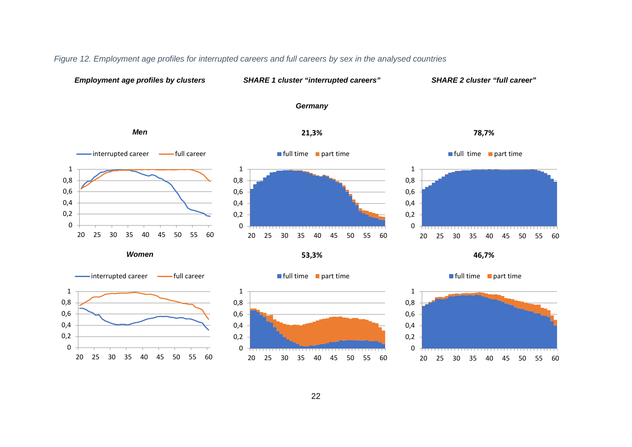<span id="page-23-0"></span>

#### *Figure 12. Employment age profiles for interrupted careers and full careers by sex in the analysed countries*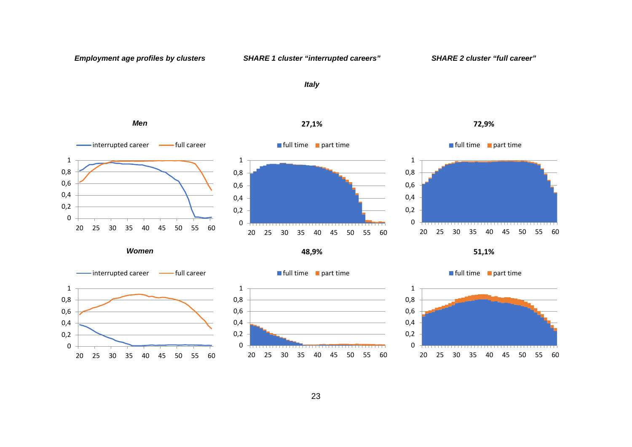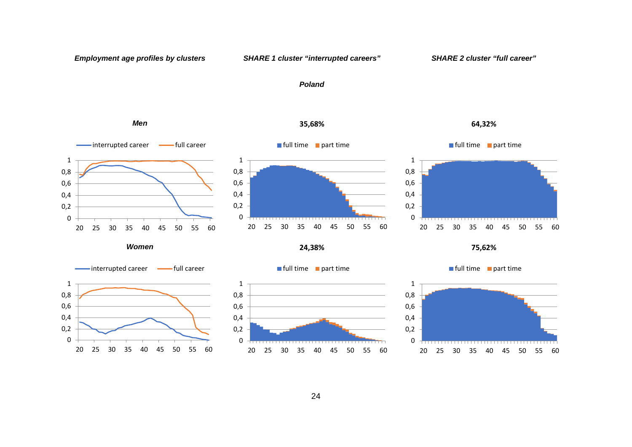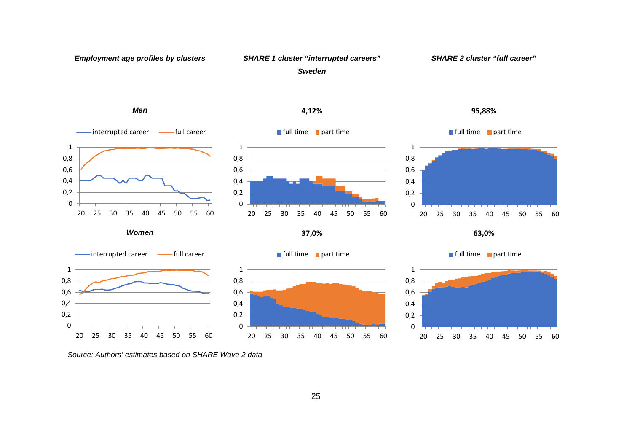

*Source: Authors' estimates based on SHARE Wave 2 data*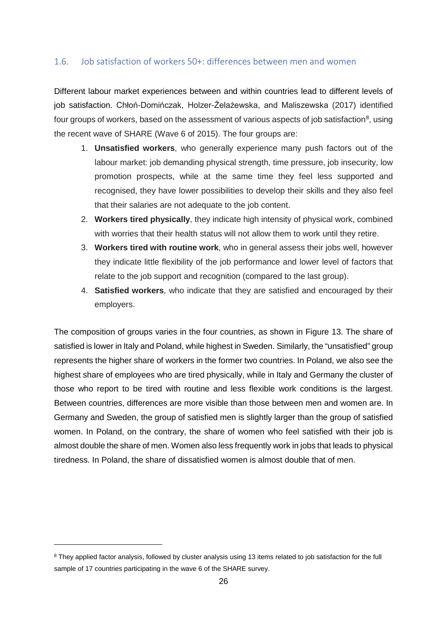### <span id="page-27-0"></span>1.6. Job satisfaction of workers 50+: differences between men and women

Different labour market experiences between and within countries lead to different levels of job satisfaction. Chłoń-Domińczak, Holzer-Żelażewska, and Maliszewska (2017) identified four groups of workers, based on the assessment of various aspects of job satisfaction $^8$  $^8$ , using the recent wave of SHARE (Wave 6 of 2015). The four groups are:

- 1. **Unsatisfied workers**, who generally experience many push factors out of the labour market: job demanding physical strength, time pressure, job insecurity, low promotion prospects, while at the same time they feel less supported and recognised, they have lower possibilities to develop their skills and they also feel that their salaries are not adequate to the job content.
- 2. **Workers tired physically**, they indicate high intensity of physical work, combined with worries that their health status will not allow them to work until they retire.
- 3. **Workers tired with routine work**, who in general assess their jobs well, however they indicate little flexibility of the job performance and lower level of factors that relate to the job support and recognition (compared to the last group).
- 4. **Satisfied workers**, who indicate that they are satisfied and encouraged by their employers.

The composition of groups varies in the four countries, as shown in [Figure 13.](#page-28-1) The share of satisfied is lower in Italy and Poland, while highest in Sweden. Similarly, the "unsatisfied" group represents the higher share of workers in the former two countries. In Poland, we also see the highest share of employees who are tired physically, while in Italy and Germany the cluster of those who report to be tired with routine and less flexible work conditions is the largest. Between countries, differences are more visible than those between men and women are. In Germany and Sweden, the group of satisfied men is slightly larger than the group of satisfied women. In Poland, on the contrary, the share of women who feel satisfied with their job is almost double the share of men. Women also less frequently work in jobs that leads to physical tiredness. In Poland, the share of dissatisfied women is almost double that of men.

 $\overline{a}$ 

<span id="page-27-1"></span><sup>&</sup>lt;sup>8</sup> They applied factor analysis, followed by cluster analysis using 13 items related to job satisfaction for the full sample of 17 countries participating in the wave 6 of the SHARE survey.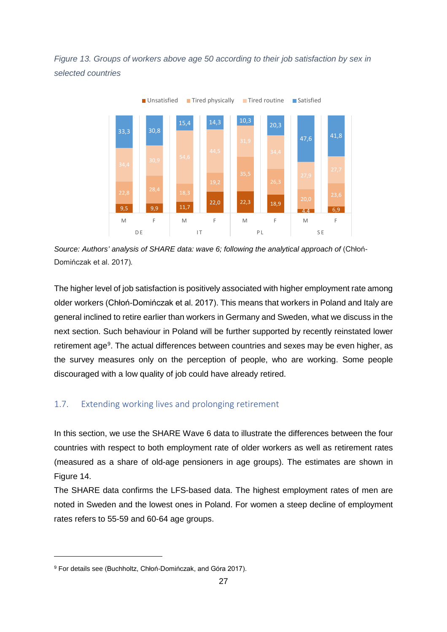<span id="page-28-1"></span>*Figure 13. Groups of workers above age 50 according to their job satisfaction by sex in selected countries*



*Source: Authors' analysis of SHARE data: wave 6; following the analytical approach of* (Chłoń-Domińczak et al. 2017)*.*

The higher level of job satisfaction is positively associated with higher employment rate among older workers (Chłoń-Domińczak et al. 2017). This means that workers in Poland and Italy are general inclined to retire earlier than workers in Germany and Sweden, what we discuss in the next section. Such behaviour in Poland will be further supported by recently reinstated lower retirement age<sup>[9](#page-28-2)</sup>. The actual differences between countries and sexes may be even higher, as the survey measures only on the perception of people, who are working. Some people discouraged with a low quality of job could have already retired.

### <span id="page-28-0"></span>1.7. Extending working lives and prolonging retirement

In this section, we use the SHARE Wave 6 data to illustrate the differences between the four countries with respect to both employment rate of older workers as well as retirement rates (measured as a share of old-age pensioners in age groups). The estimates are shown in [Figure 14.](#page-29-0)

The SHARE data confirms the LFS-based data. The highest employment rates of men are noted in Sweden and the lowest ones in Poland. For women a steep decline of employment rates refers to 55-59 and 60-64 age groups.

 $\overline{a}$ 

<span id="page-28-2"></span><sup>&</sup>lt;sup>9</sup> For details see (Buchholtz, Chłoń-Domińczak, and Góra 2017).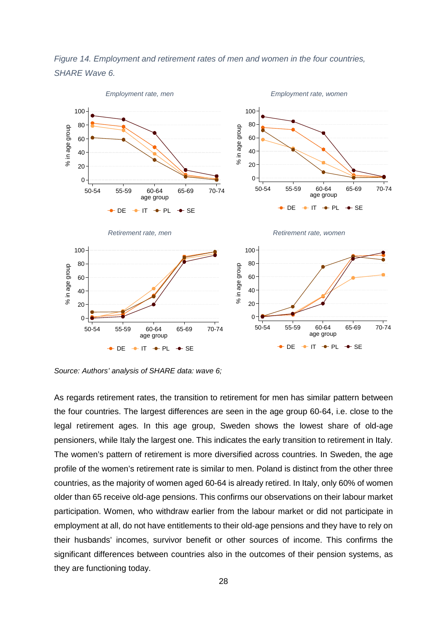<span id="page-29-0"></span>



*Source: Authors' analysis of SHARE data: wave 6;* 

As regards retirement rates, the transition to retirement for men has similar pattern between the four countries. The largest differences are seen in the age group 60-64, i.e. close to the legal retirement ages. In this age group, Sweden shows the lowest share of old-age pensioners, while Italy the largest one. This indicates the early transition to retirement in Italy. The women's pattern of retirement is more diversified across countries. In Sweden, the age profile of the women's retirement rate is similar to men. Poland is distinct from the other three countries, as the majority of women aged 60-64 is already retired. In Italy, only 60% of women older than 65 receive old-age pensions. This confirms our observations on their labour market participation. Women, who withdraw earlier from the labour market or did not participate in employment at all, do not have entitlements to their old-age pensions and they have to rely on their husbands' incomes, survivor benefit or other sources of income. This confirms the significant differences between countries also in the outcomes of their pension systems, as they are functioning today.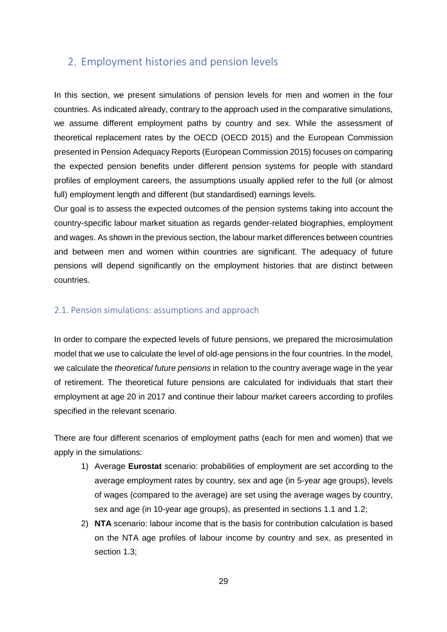# <span id="page-30-0"></span>2. Employment histories and pension levels

In this section, we present simulations of pension levels for men and women in the four countries. As indicated already, contrary to the approach used in the comparative simulations, we assume different employment paths by country and sex. While the assessment of theoretical replacement rates by the OECD (OECD 2015) and the European Commission presented in Pension Adequacy Reports (European Commission 2015) focuses on comparing the expected pension benefits under different pension systems for people with standard profiles of employment careers, the assumptions usually applied refer to the full (or almost full) employment length and different (but standardised) earnings levels.

Our goal is to assess the expected outcomes of the pension systems taking into account the country-specific labour market situation as regards gender-related biographies, employment and wages. As shown in the previous section, the labour market differences between countries and between men and women within countries are significant. The adequacy of future pensions will depend significantly on the employment histories that are distinct between countries.

### <span id="page-30-1"></span>2.1. Pension simulations: assumptions and approach

In order to compare the expected levels of future pensions, we prepared the microsimulation model that we use to calculate the level of old-age pensions in the four countries. In the model, we calculate the *theoretical future pensions* in relation to the country average wage in the year of retirement. The theoretical future pensions are calculated for individuals that start their employment at age 20 in 2017 and continue their labour market careers according to profiles specified in the relevant scenario.

There are four different scenarios of employment paths (each for men and women) that we apply in the simulations:

- 1) Average **Eurostat** scenario: probabilities of employment are set according to the average employment rates by country, sex and age (in 5-year age groups), levels of wages (compared to the average) are set using the average wages by country, sex and age (in 10-year age groups), as presented in sections 1.1 and 1.2;
- 2) **NTA** scenario: labour income that is the basis for contribution calculation is based on the NTA age profiles of labour income by country and sex, as presented in section 1.3;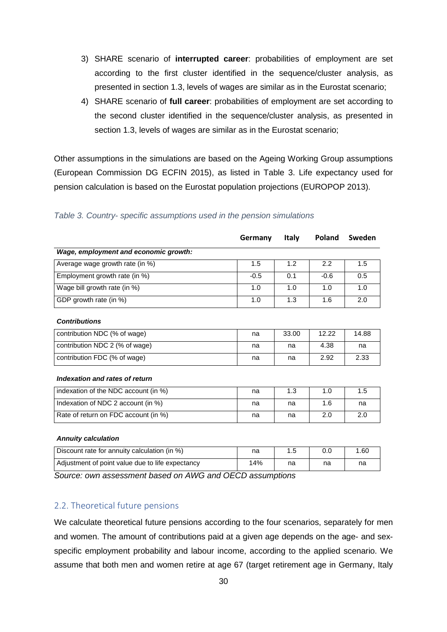- 3) SHARE scenario of **interrupted career**: probabilities of employment are set according to the first cluster identified in the sequence/cluster analysis, as presented in section 1.3, levels of wages are similar as in the Eurostat scenario;
- 4) SHARE scenario of **full career**: probabilities of employment are set according to the second cluster identified in the sequence/cluster analysis, as presented in section 1.3, levels of wages are similar as in the Eurostat scenario;

Other assumptions in the simulations are based on the Ageing Working Group assumptions (European Commission DG ECFIN 2015), as listed in [Table 3.](#page-31-1) Life expectancy used for pension calculation is based on the Eurostat population projections (EUROPOP 2013).

|                                              | Germany | <b>Italy</b> | Poland | Sweden |
|----------------------------------------------|---------|--------------|--------|--------|
| Wage, employment and economic growth:        |         |              |        |        |
| Average wage growth rate (in %)              | 1.5     | 1.2          | 2.2    | 1.5    |
| Employment growth rate (in %)                | $-0.5$  | 0.1          | $-0.6$ | 0.5    |
| Wage bill growth rate (in %)                 | 1.0     | 1.0          | 1.0    | 1.0    |
| GDP growth rate (in %)                       | 1.0     | 1.3          | 1.6    | 2.0    |
| <b>Contributions</b>                         |         |              |        |        |
| contribution NDC (% of wage)                 | na      | 33.00        | 12.22  | 14.88  |
| contribution NDC 2 (% of wage)               | na      | na           | 4.38   | na     |
| contribution FDC (% of wage)                 | na      | na           | 2.92   | 2.33   |
| Indexation and rates of return               |         |              |        |        |
| indexation of the NDC account (in %)         | na      | 1.3          | 1.0    | 1.5    |
| Indexation of NDC 2 account (in %)           | na      | na           | 1.6    | na     |
| Rate of return on FDC account (in %)         | na      | na           | 2.0    | 2.0    |
| <b>Annuity calculation</b>                   |         |              |        |        |
| Discount rate for annuity calculation (in %) | na      | 1.5          | 0.0    | 1.60   |

#### <span id="page-31-1"></span>*Table 3. Country- specific assumptions used in the pension simulations*

*Source: own assessment based on AWG and OECD assumptions* 

#### <span id="page-31-0"></span>2.2. Theoretical future pensions

We calculate theoretical future pensions according to the four scenarios, separately for men and women. The amount of contributions paid at a given age depends on the age- and sexspecific employment probability and labour income, according to the applied scenario. We assume that both men and women retire at age 67 (target retirement age in Germany, Italy

Adjustment of point value due to life expectancy 14% na na na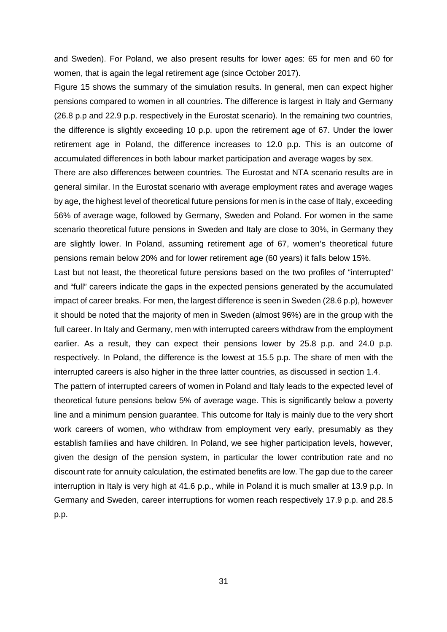and Sweden). For Poland, we also present results for lower ages: 65 for men and 60 for women, that is again the legal retirement age (since October 2017).

[Figure 15](#page-33-1) shows the summary of the simulation results. In general, men can expect higher pensions compared to women in all countries. The difference is largest in Italy and Germany (26.8 p.p and 22.9 p.p. respectively in the Eurostat scenario). In the remaining two countries, the difference is slightly exceeding 10 p.p. upon the retirement age of 67. Under the lower retirement age in Poland, the difference increases to 12.0 p.p. This is an outcome of accumulated differences in both labour market participation and average wages by sex.

There are also differences between countries. The Eurostat and NTA scenario results are in general similar. In the Eurostat scenario with average employment rates and average wages by age, the highest level of theoretical future pensions for men is in the case of Italy, exceeding 56% of average wage, followed by Germany, Sweden and Poland. For women in the same scenario theoretical future pensions in Sweden and Italy are close to 30%, in Germany they are slightly lower. In Poland, assuming retirement age of 67, women's theoretical future pensions remain below 20% and for lower retirement age (60 years) it falls below 15%.

Last but not least, the theoretical future pensions based on the two profiles of "interrupted" and "full" careers indicate the gaps in the expected pensions generated by the accumulated impact of career breaks. For men, the largest difference is seen in Sweden (28.6 p.p), however it should be noted that the majority of men in Sweden (almost 96%) are in the group with the full career. In Italy and Germany, men with interrupted careers withdraw from the employment earlier. As a result, they can expect their pensions lower by 25.8 p.p. and 24.0 p.p. respectively. In Poland, the difference is the lowest at 15.5 p.p. The share of men with the interrupted careers is also higher in the three latter countries, as discussed in section 1.4.

The pattern of interrupted careers of women in Poland and Italy leads to the expected level of theoretical future pensions below 5% of average wage. This is significantly below a poverty line and a minimum pension guarantee. This outcome for Italy is mainly due to the very short work careers of women, who withdraw from employment very early, presumably as they establish families and have children. In Poland, we see higher participation levels, however, given the design of the pension system, in particular the lower contribution rate and no discount rate for annuity calculation, the estimated benefits are low. The gap due to the career interruption in Italy is very high at 41.6 p.p., while in Poland it is much smaller at 13.9 p.p. In Germany and Sweden, career interruptions for women reach respectively 17.9 p.p. and 28.5 p.p.

31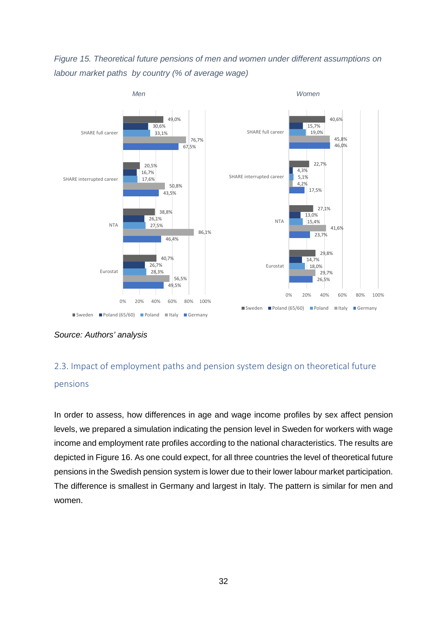<span id="page-33-1"></span>*Figure 15. Theoretical future pensions of men and women under different assumptions on labour market paths by country (% of average wage)*



*Source: Authors' analysis*

# <span id="page-33-0"></span>2.3. Impact of employment paths and pension system design on theoretical future

### pensions

In order to assess, how differences in age and wage income profiles by sex affect pension levels, we prepared a simulation indicating the pension level in Sweden for workers with wage income and employment rate profiles according to the national characteristics. The results are depicted in [Figure 16.](#page-34-0) As one could expect, for all three countries the level of theoretical future pensions in the Swedish pension system is lower due to their lower labour market participation. The difference is smallest in Germany and largest in Italy. The pattern is similar for men and women.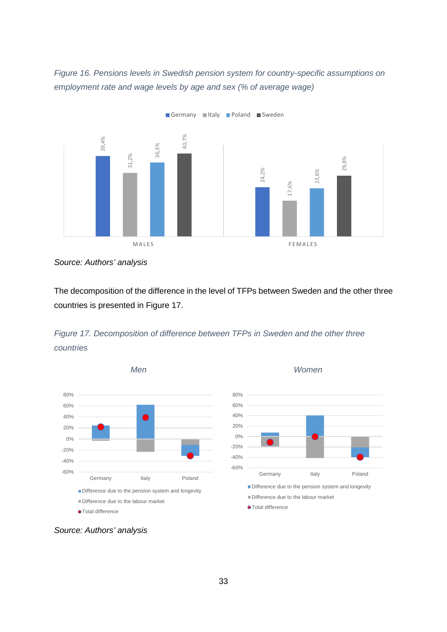<span id="page-34-0"></span>*Figure 16. Pensions levels in Swedish pension system for country-specific assumptions on employment rate and wage levels by age and sex (% of average wage)*



*Source: Authors' analysis*

The decomposition of the difference in the level of TFPs between Sweden and the other three countries is presented in [Figure 17.](#page-34-1)

<span id="page-34-1"></span>



*Men Women*

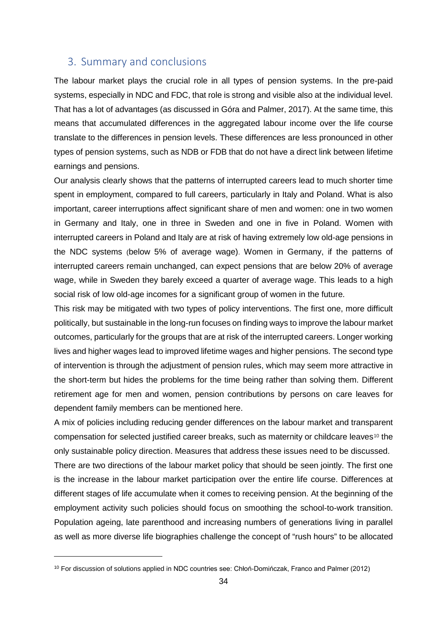### <span id="page-35-0"></span>3. Summary and conclusions

The labour market plays the crucial role in all types of pension systems. In the pre-paid systems, especially in NDC and FDC, that role is strong and visible also at the individual level. That has a lot of advantages (as discussed in Góra and Palmer, 2017). At the same time, this means that accumulated differences in the aggregated labour income over the life course translate to the differences in pension levels. These differences are less pronounced in other types of pension systems, such as NDB or FDB that do not have a direct link between lifetime earnings and pensions.

Our analysis clearly shows that the patterns of interrupted careers lead to much shorter time spent in employment, compared to full careers, particularly in Italy and Poland. What is also important, career interruptions affect significant share of men and women: one in two women in Germany and Italy, one in three in Sweden and one in five in Poland. Women with interrupted careers in Poland and Italy are at risk of having extremely low old-age pensions in the NDC systems (below 5% of average wage). Women in Germany, if the patterns of interrupted careers remain unchanged, can expect pensions that are below 20% of average wage, while in Sweden they barely exceed a quarter of average wage. This leads to a high social risk of low old-age incomes for a significant group of women in the future.

This risk may be mitigated with two types of policy interventions. The first one, more difficult politically, but sustainable in the long-run focuses on finding ways to improve the labour market outcomes, particularly for the groups that are at risk of the interrupted careers. Longer working lives and higher wages lead to improved lifetime wages and higher pensions. The second type of intervention is through the adjustment of pension rules, which may seem more attractive in the short-term but hides the problems for the time being rather than solving them. Different retirement age for men and women, pension contributions by persons on care leaves for dependent family members can be mentioned here.

A mix of policies including reducing gender differences on the labour market and transparent compensation for selected justified career breaks, such as maternity or childcare leaves<sup>[10](#page-35-1)</sup> the only sustainable policy direction. Measures that address these issues need to be discussed.

There are two directions of the labour market policy that should be seen jointly. The first one is the increase in the labour market participation over the entire life course. Differences at different stages of life accumulate when it comes to receiving pension. At the beginning of the employment activity such policies should focus on smoothing the school-to-work transition. Population ageing, late parenthood and increasing numbers of generations living in parallel as well as more diverse life biographies challenge the concept of "rush hours" to be allocated

 $\overline{a}$ 

<span id="page-35-1"></span><sup>10</sup> For discussion of solutions applied in NDC countries see: Chłoń-Domińczak, Franco and Palmer (2012)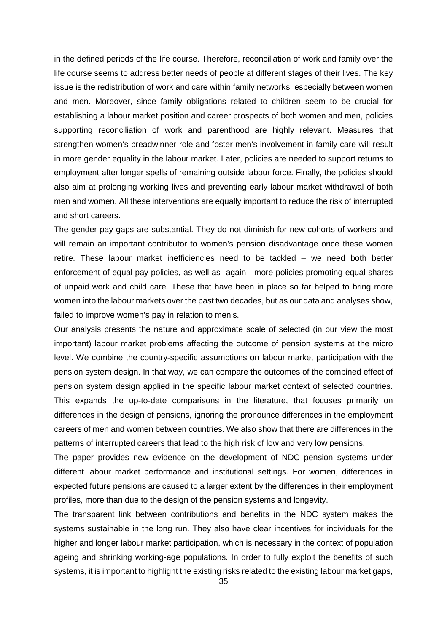in the defined periods of the life course. Therefore, reconciliation of work and family over the life course seems to address better needs of people at different stages of their lives. The key issue is the redistribution of work and care within family networks, especially between women and men. Moreover, since family obligations related to children seem to be crucial for establishing a labour market position and career prospects of both women and men, policies supporting reconciliation of work and parenthood are highly relevant. Measures that strengthen women's breadwinner role and foster men's involvement in family care will result in more gender equality in the labour market. Later, policies are needed to support returns to employment after longer spells of remaining outside labour force. Finally, the policies should also aim at prolonging working lives and preventing early labour market withdrawal of both men and women. All these interventions are equally important to reduce the risk of interrupted and short careers.

The gender pay gaps are substantial. They do not diminish for new cohorts of workers and will remain an important contributor to women's pension disadvantage once these women retire. These labour market inefficiencies need to be tackled – we need both better enforcement of equal pay policies, as well as -again - more policies promoting equal shares of unpaid work and child care. These that have been in place so far helped to bring more women into the labour markets over the past two decades, but as our data and analyses show, failed to improve women's pay in relation to men's.

Our analysis presents the nature and approximate scale of selected (in our view the most important) labour market problems affecting the outcome of pension systems at the micro level. We combine the country-specific assumptions on labour market participation with the pension system design. In that way, we can compare the outcomes of the combined effect of pension system design applied in the specific labour market context of selected countries. This expands the up-to-date comparisons in the literature, that focuses primarily on differences in the design of pensions, ignoring the pronounce differences in the employment careers of men and women between countries. We also show that there are differences in the patterns of interrupted careers that lead to the high risk of low and very low pensions.

The paper provides new evidence on the development of NDC pension systems under different labour market performance and institutional settings. For women, differences in expected future pensions are caused to a larger extent by the differences in their employment profiles, more than due to the design of the pension systems and longevity.

The transparent link between contributions and benefits in the NDC system makes the systems sustainable in the long run. They also have clear incentives for individuals for the higher and longer labour market participation, which is necessary in the context of population ageing and shrinking working-age populations. In order to fully exploit the benefits of such systems, it is important to highlight the existing risks related to the existing labour market gaps,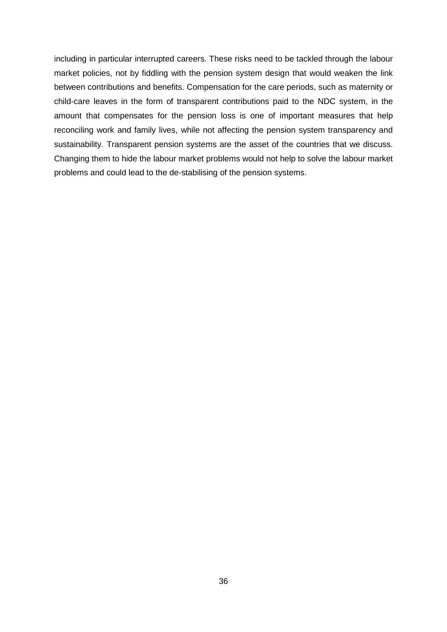including in particular interrupted careers. These risks need to be tackled through the labour market policies, not by fiddling with the pension system design that would weaken the link between contributions and benefits. Compensation for the care periods, such as maternity or child-care leaves in the form of transparent contributions paid to the NDC system, in the amount that compensates for the pension loss is one of important measures that help reconciling work and family lives, while not affecting the pension system transparency and sustainability. Transparent pension systems are the asset of the countries that we discuss. Changing them to hide the labour market problems would not help to solve the labour market problems and could lead to the de-stabilising of the pension systems.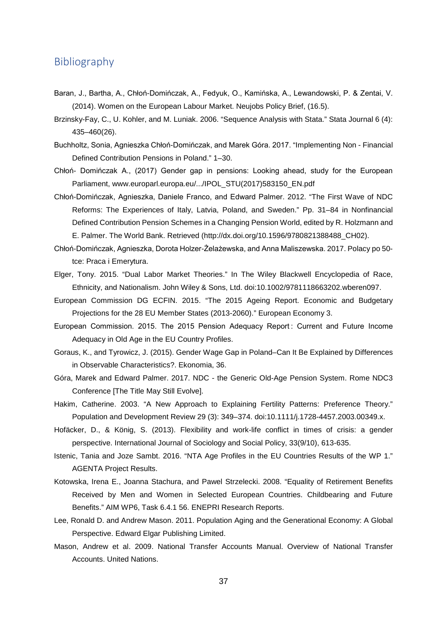## <span id="page-38-0"></span>Bibliography

- Baran, J., Bartha, A., Chłoń-Domińczak, A., Fedyuk, O., Kamińska, A., Lewandowski, P. & Zentai, V. (2014). Women on the European Labour Market. Neujobs Policy Brief, (16.5).
- Brzinsky-Fay, C., U. Kohler, and M. Luniak. 2006. "Sequence Analysis with Stata." Stata Journal 6 (4): 435–460(26).
- Buchholtz, Sonia, Agnieszka Chłoń-Domińczak, and Marek Góra. 2017. "Implementing Non Financial Defined Contribution Pensions in Poland." 1–30.
- Chłoń- Domińczak A., (2017) Gender gap in pensions: Looking ahead, study for the European Parliament, [www.europarl.europa.eu/.../IPOL\\_STU\(2017\)583150\\_EN.pdf](http://www.europarl.europa.eu/.../IPOL_STU(2017)583150_EN.pdf)
- Chłoń-Domińczak, Agnieszka, Daniele Franco, and Edward Palmer. 2012. "The First Wave of NDC Reforms: The Experiences of Italy, Latvia, Poland, and Sweden." Pp. 31–84 in Nonfinancial Defined Contribution Pension Schemes in a Changing Pension World, edited by R. Holzmann and E. Palmer. The World Bank. Retrieved (http://dx.doi.org/10.1596/9780821388488\_CH02).
- Chłoń-Domińczak, Agnieszka, Dorota Holzer-Żelażewska, and Anna Maliszewska. 2017. Polacy po 50 tce: Praca i Emerytura.
- Elger, Tony. 2015. "Dual Labor Market Theories." In The Wiley Blackwell Encyclopedia of Race, Ethnicity, and Nationalism. John Wiley & Sons, Ltd. doi:10.1002/9781118663202.wberen097.
- European Commission DG ECFIN. 2015. "The 2015 Ageing Report. Economic and Budgetary Projections for the 28 EU Member States (2013-2060)." European Economy 3.
- European Commission. 2015. The 2015 Pension Adequacy Report : Current and Future Income Adequacy in Old Age in the EU Country Profiles.
- Goraus, K., and Tyrowicz, J. (2015). Gender Wage Gap in Poland–Can It Be Explained by Differences in Observable Characteristics?. Ekonomia, 36.
- Góra, Marek and Edward Palmer. 2017. NDC the Generic Old-Age Pension System. Rome NDC3 Conference [The Title May Still Evolve].
- Hakim, Catherine. 2003. "A New Approach to Explaining Fertility Patterns: Preference Theory." Population and Development Review 29 (3): 349–374. doi:10.1111/j.1728-4457.2003.00349.x.
- Hofäcker, D., & König, S. (2013). Flexibility and work-life conflict in times of crisis: a gender perspective. International Journal of Sociology and Social Policy, 33(9/10), 613-635.
- Istenic, Tania and Joze Sambt. 2016. "NTA Age Profiles in the EU Countries Results of the WP 1." AGENTA Project Results.
- Kotowska, Irena E., Joanna Stachura, and Pawel Strzelecki. 2008. "Equality of Retirement Benefits Received by Men and Women in Selected European Countries. Childbearing and Future Benefits." AIM WP6, Task 6.4.1 56. ENEPRI Research Reports.
- Lee, Ronald D. and Andrew Mason. 2011. Population Aging and the Generational Economy: A Global Perspective. Edward Elgar Publishing Limited.
- Mason, Andrew et al. 2009. National Transfer Accounts Manual. Overview of National Transfer Accounts. United Nations.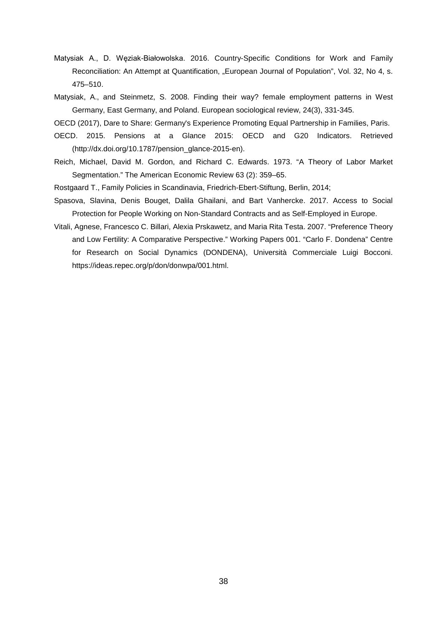- Matysiak A., D. Węziak-Białowolska. 2016. Country-Specific Conditions for Work and Family Reconciliation: An Attempt at Quantification, "European Journal of Population", Vol. 32, No 4, s. 475–510.
- Matysiak, A., and Steinmetz, S. 2008. Finding their way? female employment patterns in West Germany, East Germany, and Poland. European sociological review, 24(3), 331-345.
- OECD (2017), Dare to Share: Germany's Experience Promoting Equal Partnership in Families, Paris.
- OECD. 2015. Pensions at a Glance 2015: OECD and G20 Indicators. Retrieved (http://dx.doi.org/10.1787/pension\_glance-2015-en).
- Reich, Michael, David M. Gordon, and Richard C. Edwards. 1973. "A Theory of Labor Market Segmentation." The American Economic Review 63 (2): 359–65.
- Rostgaard T., Family Policies in Scandinavia, Friedrich-Ebert-Stiftung, Berlin, 2014;
- Spasova, Slavina, Denis Bouget, Dalila Ghailani, and Bart Vanhercke. 2017. Access to Social Protection for People Working on Non-Standard Contracts and as Self-Employed in Europe.
- Vitali, Agnese, Francesco C. Billari, Alexia Prskawetz, and Maria Rita Testa. 2007. "Preference Theory and Low Fertility: A Comparative Perspective." Working Papers 001. "Carlo F. Dondena" Centre for Research on Social Dynamics (DONDENA), Università Commerciale Luigi Bocconi. https://ideas.repec.org/p/don/donwpa/001.html.